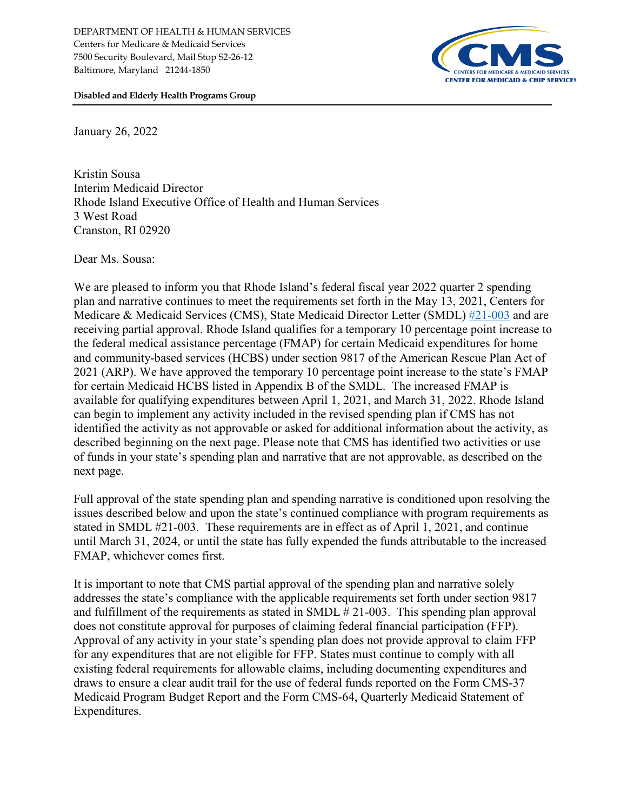

**Disabled and Elderly Health Programs Group**

January 26, 2022

Kristin Sousa Interim Medicaid Director Rhode Island Executive Office of Health and Human Services 3 West Road Cranston, RI 02920

Dear Ms. Sousa:

We are pleased to inform you that Rhode Island's federal fiscal year 2022 quarter 2 spending plan and narrative continues to meet the requirements set forth in the May 13, 2021, Centers for Medicare & Medicaid Services (CMS), State Medicaid Director Letter (SMDL) [#21-003](https://www.medicaid.gov/federal-policy-guidance/downloads/smd21003.pdf) and are receiving partial approval. Rhode Island qualifies for a temporary 10 percentage point increase to the federal medical assistance percentage (FMAP) for certain Medicaid expenditures for home and community-based services (HCBS) under section 9817 of the American Rescue Plan Act of 2021 (ARP). We have approved the temporary 10 percentage point increase to the state's FMAP for certain Medicaid HCBS listed in Appendix B of the SMDL. The increased FMAP is available for qualifying expenditures between April 1, 2021, and March 31, 2022. Rhode Island can begin to implement any activity included in the revised spending plan if CMS has not identified the activity as not approvable or asked for additional information about the activity, as described beginning on the next page. Please note that CMS has identified two activities or use of funds in your state's spending plan and narrative that are not approvable, as described on the next page.

Full approval of the state spending plan and spending narrative is conditioned upon resolving the issues described below and upon the state's continued compliance with program requirements as stated in SMDL #21-003. These requirements are in effect as of April 1, 2021, and continue until March 31, 2024, or until the state has fully expended the funds attributable to the increased FMAP, whichever comes first.

It is important to note that CMS partial approval of the spending plan and narrative solely addresses the state's compliance with the applicable requirements set forth under section 9817 and fulfillment of the requirements as stated in SMDL # 21-003. This spending plan approval does not constitute approval for purposes of claiming federal financial participation (FFP). Approval of any activity in your state's spending plan does not provide approval to claim FFP for any expenditures that are not eligible for FFP. States must continue to comply with all existing federal requirements for allowable claims, including documenting expenditures and draws to ensure a clear audit trail for the use of federal funds reported on the Form CMS-37 Medicaid Program Budget Report and the Form CMS-64, Quarterly Medicaid Statement of Expenditures.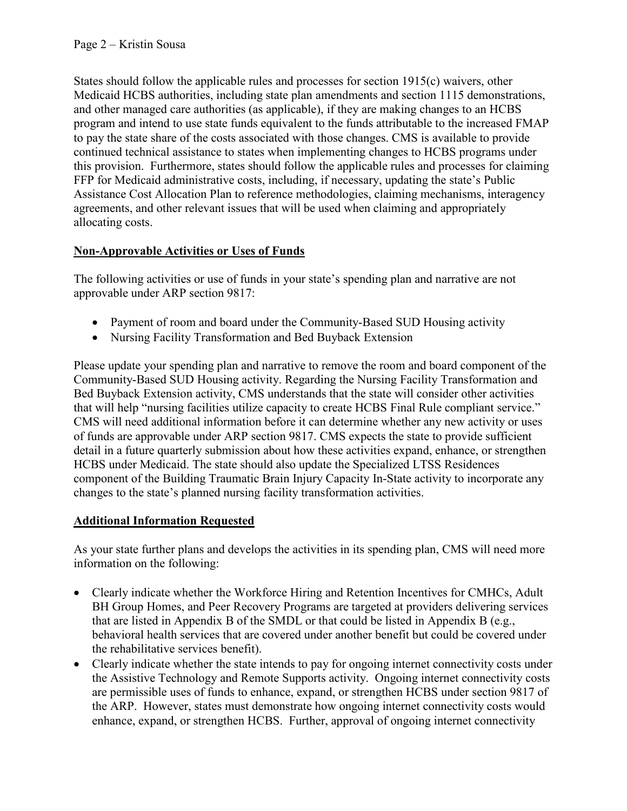States should follow the applicable rules and processes for section 1915(c) waivers, other Medicaid HCBS authorities, including state plan amendments and section 1115 demonstrations, and other managed care authorities (as applicable), if they are making changes to an HCBS program and intend to use state funds equivalent to the funds attributable to the increased FMAP to pay the state share of the costs associated with those changes. CMS is available to provide continued technical assistance to states when implementing changes to HCBS programs under this provision. Furthermore, states should follow the applicable rules and processes for claiming FFP for Medicaid administrative costs, including, if necessary, updating the state's Public Assistance Cost Allocation Plan to reference methodologies, claiming mechanisms, interagency agreements, and other relevant issues that will be used when claiming and appropriately allocating costs.

## **Non-Approvable Activities or Uses of Funds**

The following activities or use of funds in your state's spending plan and narrative are not approvable under ARP section 9817:

- Payment of room and board under the Community-Based SUD Housing activity
- Nursing Facility Transformation and Bed Buyback Extension

Please update your spending plan and narrative to remove the room and board component of the Community-Based SUD Housing activity. Regarding the Nursing Facility Transformation and Bed Buyback Extension activity, CMS understands that the state will consider other activities that will help "nursing facilities utilize capacity to create HCBS Final Rule compliant service." CMS will need additional information before it can determine whether any new activity or uses of funds are approvable under ARP section 9817. CMS expects the state to provide sufficient detail in a future quarterly submission about how these activities expand, enhance, or strengthen HCBS under Medicaid. The state should also update the Specialized LTSS Residences component of the Building Traumatic Brain Injury Capacity In-State activity to incorporate any changes to the state's planned nursing facility transformation activities.

#### **Additional Information Requested**

As your state further plans and develops the activities in its spending plan, CMS will need more information on the following:

- Clearly indicate whether the Workforce Hiring and Retention Incentives for CMHCs, Adult BH Group Homes, and Peer Recovery Programs are targeted at providers delivering services that are listed in Appendix B of the SMDL or that could be listed in Appendix B (e.g., behavioral health services that are covered under another benefit but could be covered under the rehabilitative services benefit).
- Clearly indicate whether the state intends to pay for ongoing internet connectivity costs under the Assistive Technology and Remote Supports activity. Ongoing internet connectivity costs are permissible uses of funds to enhance, expand, or strengthen HCBS under section 9817 of the ARP. However, states must demonstrate how ongoing internet connectivity costs would enhance, expand, or strengthen HCBS. Further, approval of ongoing internet connectivity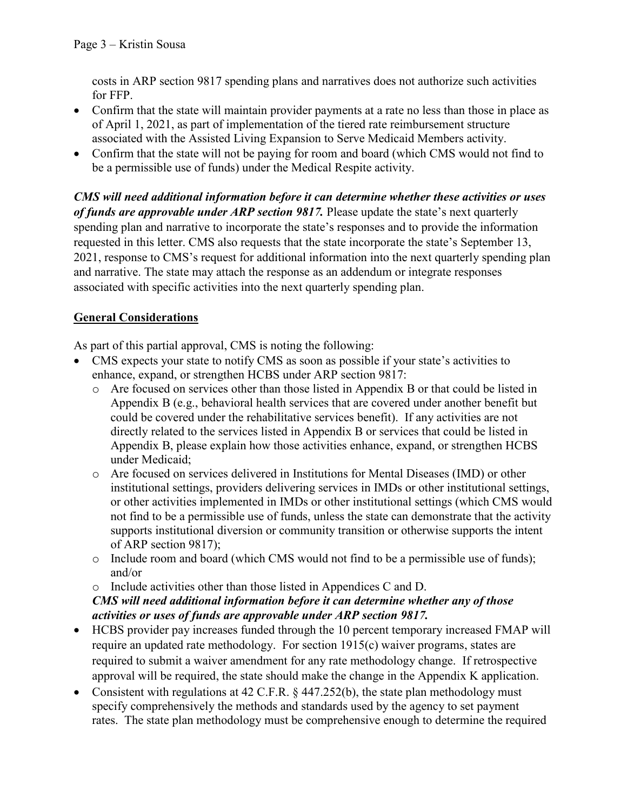costs in ARP section 9817 spending plans and narratives does not authorize such activities for FFP.

- Confirm that the state will maintain provider payments at a rate no less than those in place as of April 1, 2021, as part of implementation of the tiered rate reimbursement structure associated with the Assisted Living Expansion to Serve Medicaid Members activity.
- Confirm that the state will not be paying for room and board (which CMS would not find to be a permissible use of funds) under the Medical Respite activity.

*CMS will need additional information before it can determine whether these activities or uses of funds are approvable under ARP section 9817.* Please update the state's next quarterly spending plan and narrative to incorporate the state's responses and to provide the information requested in this letter. CMS also requests that the state incorporate the state's September 13, 2021, response to CMS's request for additional information into the next quarterly spending plan and narrative. The state may attach the response as an addendum or integrate responses associated with specific activities into the next quarterly spending plan.

# **General Considerations**

As part of this partial approval, CMS is noting the following:

- CMS expects your state to notify CMS as soon as possible if your state's activities to enhance, expand, or strengthen HCBS under ARP section 9817:
	- o Are focused on services other than those listed in Appendix B or that could be listed in Appendix B (e.g., behavioral health services that are covered under another benefit but could be covered under the rehabilitative services benefit).If any activities are not directly related to the services listed in Appendix B or services that could be listed in Appendix B, please explain how those activities enhance, expand, or strengthen HCBS under Medicaid;
	- o Are focused on services delivered in Institutions for Mental Diseases (IMD) or other institutional settings, providers delivering services in IMDs or other institutional settings, or other activities implemented in IMDs or other institutional settings (which CMS would not find to be a permissible use of funds, unless the state can demonstrate that the activity supports institutional diversion or community transition or otherwise supports the intent of ARP section 9817);
	- o Include room and board (which CMS would not find to be a permissible use of funds); and/or
	- o Include activities other than those listed in Appendices C and D.

## *CMS will need additional information before it can determine whether any of those activities or uses of funds are approvable under ARP section 9817.*

- HCBS provider pay increases funded through the 10 percent temporary increased FMAP will require an updated rate methodology. For section 1915(c) waiver programs, states are required to submit a waiver amendment for any rate methodology change. If retrospective approval will be required, the state should make the change in the Appendix K application.
- Consistent with regulations at 42 C.F.R. § 447.252(b), the state plan methodology must specify comprehensively the methods and standards used by the agency to set payment rates. The state plan methodology must be comprehensive enough to determine the required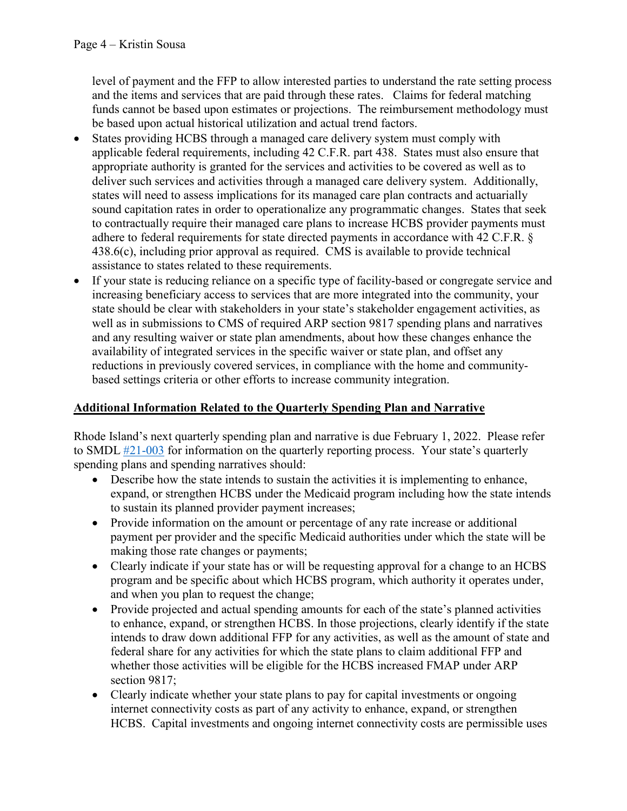level of payment and the FFP to allow interested parties to understand the rate setting process and the items and services that are paid through these rates. Claims for federal matching funds cannot be based upon estimates or projections. The reimbursement methodology must be based upon actual historical utilization and actual trend factors.

- States providing HCBS through a managed care delivery system must comply with applicable federal requirements, including 42 C.F.R. part 438. States must also ensure that appropriate authority is granted for the services and activities to be covered as well as to deliver such services and activities through a managed care delivery system. Additionally, states will need to assess implications for its managed care plan contracts and actuarially sound capitation rates in order to operationalize any programmatic changes. States that seek to contractually require their managed care plans to increase HCBS provider payments must adhere to federal requirements for state directed payments in accordance with 42 C.F.R. § 438.6(c), including prior approval as required. CMS is available to provide technical assistance to states related to these requirements.
- If your state is reducing reliance on a specific type of facility-based or congregate service and increasing beneficiary access to services that are more integrated into the community, your state should be clear with stakeholders in your state's stakeholder engagement activities, as well as in submissions to CMS of required ARP section 9817 spending plans and narratives and any resulting waiver or state plan amendments, about how these changes enhance the availability of integrated services in the specific waiver or state plan, and offset any reductions in previously covered services, in compliance with the home and communitybased settings criteria or other efforts to increase community integration.

## **Additional Information Related to the Quarterly Spending Plan and Narrative**

Rhode Island's next quarterly spending plan and narrative is due February 1, 2022. Please refer to SMDL  $#21-003$  for information on the quarterly reporting process. Your state's quarterly spending plans and spending narratives should:

- Describe how the state intends to sustain the activities it is implementing to enhance, expand, or strengthen HCBS under the Medicaid program including how the state intends to sustain its planned provider payment increases;
- Provide information on the amount or percentage of any rate increase or additional payment per provider and the specific Medicaid authorities under which the state will be making those rate changes or payments;
- Clearly indicate if your state has or will be requesting approval for a change to an HCBS program and be specific about which HCBS program, which authority it operates under, and when you plan to request the change;
- Provide projected and actual spending amounts for each of the state's planned activities to enhance, expand, or strengthen HCBS. In those projections, clearly identify if the state intends to draw down additional FFP for any activities, as well as the amount of state and federal share for any activities for which the state plans to claim additional FFP and whether those activities will be eligible for the HCBS increased FMAP under ARP section 9817;
- Clearly indicate whether your state plans to pay for capital investments or ongoing internet connectivity costs as part of any activity to enhance, expand, or strengthen HCBS. Capital investments and ongoing internet connectivity costs are permissible uses